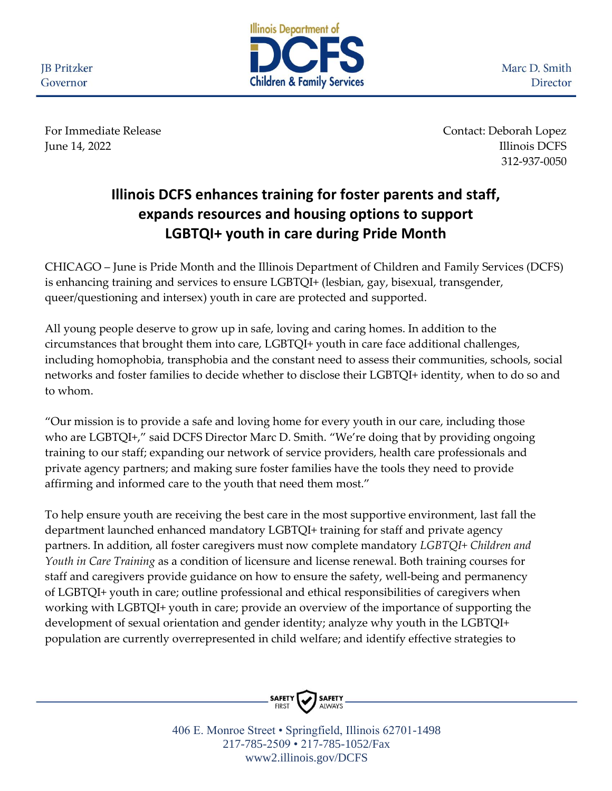**JB** Pritzker Governor



Marc D. Smith Director

For Immediate Release **Contact: Deborah Lopez** June 14, 2022 Illinois DCFS 312-937-0050

## **Illinois DCFS enhances training for foster parents and staff, expands resources and housing options to support LGBTQI+ youth in care during Pride Month**

CHICAGO – June is Pride Month and the Illinois Department of Children and Family Services (DCFS) is enhancing training and services to ensure LGBTQI+ (lesbian, gay, bisexual, transgender, queer/questioning and intersex) youth in care are protected and supported.

All young people deserve to grow up in safe, loving and caring homes. In addition to the circumstances that brought them into care, LGBTQI+ youth in care face additional challenges, including homophobia, transphobia and the constant need to assess their communities, schools, social networks and foster families to decide whether to disclose their LGBTQI+ identity, when to do so and to whom.

"Our mission is to provide a safe and loving home for every youth in our care, including those who are LGBTQI+," said DCFS Director Marc D. Smith. "We're doing that by providing ongoing training to our staff; expanding our network of service providers, health care professionals and private agency partners; and making sure foster families have the tools they need to provide affirming and informed care to the youth that need them most."

To help ensure youth are receiving the best care in the most supportive environment, last fall the department launched enhanced mandatory LGBTQI+ training for staff and private agency partners. In addition, all foster caregivers must now complete mandatory *LGBTQI+ Children and Youth in Care Training* as a condition of licensure and license renewal. Both training courses for staff and caregivers provide guidance on how to ensure the safety, well-being and permanency of LGBTQI+ youth in care; outline professional and ethical responsibilities of caregivers when working with LGBTQI+ youth in care; provide an overview of the importance of supporting the development of sexual orientation and gender identity; analyze why youth in the LGBTQI+ population are currently overrepresented in child welfare; and identify effective strategies to



406 E. Monroe Street • Springfield, Illinois 62701-1498 217-785-2509 • 217-785-1052/Fax www2.illinois.gov/DCFS